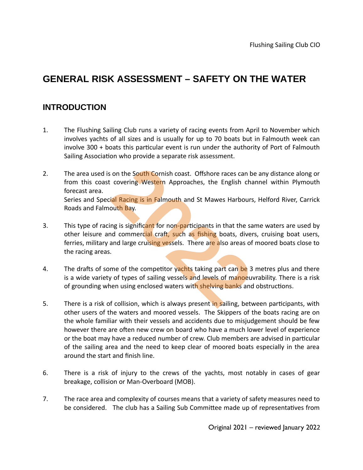# **GENERAL RISK ASSESSMENT – SAFETY ON THE WATER**

# **INTRODUCTION**

- 1. The Flushing Sailing Club runs a variety of racing events from April to November which involves yachts of all sizes and is usually for up to 70 boats but in Falmouth week can involve 300 + boats this particular event is run under the authority of Port of Falmouth Sailing Association who provide a separate risk assessment.
- 2. The area used is on the South Cornish coast. Offshore races can be any distance along or from this coast covering Western Approaches, the English channel within Plymouth forecast area. Series and Special Racing is in Falmouth and St Mawes Harbours, Helford River, Carrick Roads and Falmouth Bay. **2022** Something Western Approaches, the English change is in Falmouth and St Mawes Harbours<br>
2022 The English change is in Falmouth and St Mawes Harbours<br>
2021 The English change is significant for non-participants in tha
- 3. This type of racing is significant for non-participants in that the same waters are used by other leisure and commercial craft, such as fishing boats, divers, cruising boat users, ferries, military and large cruising vessels. There are also areas of moored boats close to the racing areas.
- 4. The drafts of some of the competitor yachts taking part can be 3 metres plus and there is a wide variety of types of sailing vessels and levels of manoeuvrability. There is a risk of grounding when using enclosed waters with shelving banks and obstructions.
- 5. There is a risk of collision, which is always present in sailing, between participants, with other users of the waters and moored vessels. The Skippers of the boats racing are on the whole familiar with their vessels and accidents due to misjudgement should be few however there are often new crew on board who have a much lower level of experience or the boat may have a reduced number of crew. Club members are advised in particular of the sailing area and the need to keep clear of moored boats especially in the area around the start and finish line.
- 6. There is a risk of injury to the crews of the yachts, most notably in cases of gear breakage, collision or Man-Overboard (MOB).
- 7. The race area and complexity of courses means that a variety of safety measures need to be considered. The club has a Sailing Sub Committee made up of representatives from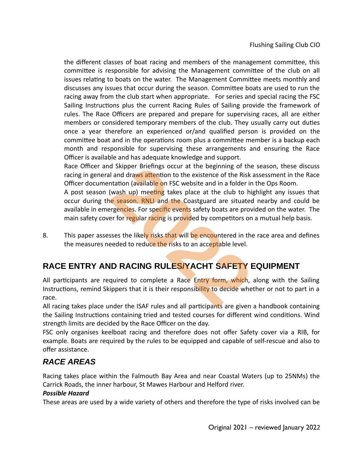the different classes of boat racing and members of the management committee, this committee is responsible for advising the Management committee of the club on all issues relating to boats on the water. The Management Committee meets monthly and discusses any issues that occur during the season. Committee boats are used to run the racing away from the club start when appropriate. For series and special racing the FSC Sailing Instructions plus the current Racing Rules of Sailing provide the framework of rules. The Race Officers are prepared and prepare for supervising races, all are either members or considered temporary members of the club. They usually carry out duties once a year therefore an experienced or/and qualified person is provided on the committee boat and in the operations room plus a committee member is a backup each month and responsible for supervising these arrangements and ensuring the Race Officer is available and has adequate knowledge and support.

Race Officer and Skipper Briefings occur at the beginning of the season, these discuss racing in general and draws attention to the existence of the Risk assessment in the Race Officer documentation (available on FSC website and in a folder in the Ops Room.

A post season (wash up) meeting takes place at the club to highlight any issues that occur during the season. RNLI and the Coastguard are situated nearby and could be available in emergencies. For specific events safety boats are provided on the water. The main safety cover for regular racing is provided by competitors on a mutual help basis. d Skipper Briefings occur at the beginning of the<br>I and draws attention to the existence of the Risk a<br>tation (available on FSC website and in a folder in<br>(wash up) meeting takes place at the club to high<br>regencies. For sp

8. This paper assesses the likely risks that will be encountered in the race area and defines the measures needed to reduce the risks to an acceptable level.

# **RACE ENTRY AND RACING RULES/YACHT SAFETY EQUIPMENT**

All participants are required to complete a Race Entry form, which, along with the Sailing Instructions, remind Skippers that it is their responsibility to decide whether or not to part in a race.

All racing takes place under the ISAF rules and all participants are given a handbook containing the Sailing Instructions containing tried and tested courses for different wind conditions. Wind strength limits are decided by the Race Officer on the day.

FSC only organises keelboat racing and therefore does not offer Safety cover via a RIB, for example. Boats are required by the rules to be equipped and capable of self-rescue and also to offer assistance.

# *RACE AREAS*

Racing takes place within the Falmouth Bay Area and near Coastal Waters (up to 25NMs) the Carrick Roads, the inner harbour, St Mawes Harbour and Helford river.

## *Possible Hazard*

These areas are used by a wide variety of others and therefore the type of risks involved can be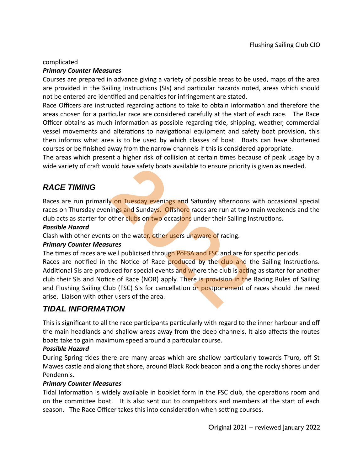#### complicated

#### *Primary Counter Measures*

Courses are prepared in advance giving a variety of possible areas to be used, maps of the area are provided in the Sailing Instructions (SIs) and particular hazards noted, areas which should not be entered are identified and penalties for infringement are stated.

Race Officers are instructed regarding actions to take to obtain information and therefore the areas chosen for a particular race are considered carefully at the start of each race. The Race Officer obtains as much information as possible regarding tide, shipping, weather, commercial vessel movements and alterations to navigational equipment and safety boat provision, this then informs what area is to be used by which classes of boat. Boats can have shortened courses or be finished away from the narrow channels if this is considered appropriate.

The areas which present a higher risk of collision at certain times because of peak usage by a wide variety of craft would have safety boats available to ensure priority is given as needed.

# *RACE TIMING*

Races are run primarily on Tuesday evenings and Saturday afternoons with occasional special races on Thursday evenings and Sundays. Offshore races are run at two main weekends and the club acts as starter for other clubs on two occasions under their Sailing Instructions.

#### *Possible Hazard*

Clash with other events on the water, other users unaware of racing.

## *Primary Counter Measures*

The times of races are well publicised through PoFSA and FSC and are for specific periods.

Races are notified in the Notice of Race produced by the club and the Sailing Instructions. Additional SIs are produced for special events and where the club is acting as starter for another club their SIs and Notice of Race (NOR) apply. There is provision in the Racing Rules of Sailing and Flushing Sailing Club (FSC) SIs for cancellation or postponement of races should the need arise. Liaison with other users of the area. build have safety boats available to ensure priority is<br> **2022**<br> **2022**<br> **2022**<br> **2022**<br> **2022**<br> **2022**<br> **2022**<br> **2022**<br> **2022**<br> **2022**<br> **2022**<br> **2022**<br> **2022**<br> **2022**<br> **2022**<br> **2022**<br> **2022**<br> **2022**<br> **2022**<br> **2022**<br> **2022** 

## *TIDAL INFORMATION*

This is significant to all the race participants particularly with regard to the inner harbour and off the main headlands and shallow areas away from the deep channels. It also affects the routes boats take to gain maximum speed around a particular course.

## *Possible Hazard*

During Spring tides there are many areas which are shallow particularly towards Truro, off St Mawes castle and along that shore, around Black Rock beacon and along the rocky shores under Pendennis.

## *Primary Counter Measures*

Tidal Information is widely available in booklet form in the FSC club, the operations room and on the committee boat. It is also sent out to competitors and members at the start of each season. The Race Officer takes this into consideration when setting courses.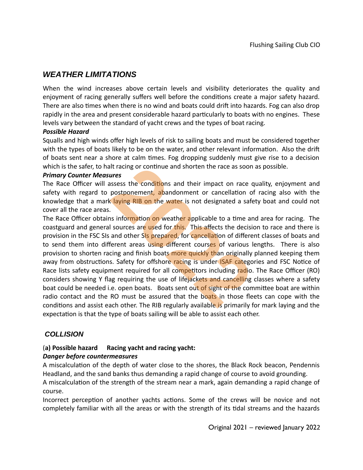## *WEATHER LIMITATIONS*

When the wind increases above certain levels and visibility deteriorates the quality and enjoyment of racing generally suffers well before the conditions create a major safety hazard. There are also times when there is no wind and boats could drift into hazards. Fog can also drop rapidly in the area and present considerable hazard particularly to boats with no engines. These levels vary between the standard of yacht crews and the types of boat racing.

#### *Possible Hazard*

Squalls and high winds offer high levels of risk to sailing boats and must be considered together with the types of boats likely to be on the water, and other relevant information. Also the drift of boats sent near a shore at calm times. Fog dropping suddenly must give rise to a decision which is the safer, to halt racing or continue and shorten the race as soon as possible.

#### *Primary Counter Measures*

The Race Officer will assess the conditions and their impact on race quality, enjoyment and safety with regard to postponement, abandonment or cancellation of racing also with the knowledge that a mark laying RIB on the water is not designated a safety boat and could not cover all the race areas.

The Race Officer obtains information on weather applicable to a time and area for racing. The coastguard and general sources are used for this. This affects the decision to race and there is provision in the FSC SIs and other SIs prepared, for cancellation of different classes of boats and to send them into different areas using different courses of various lengths. There is also provision to shorten racing and finish boats more quickly than originally planned keeping them away from obstructions. Safety for offshore racing is under **ISAF** categories and FSC Notice of Race lists safety equipment required for all competitors including radio. The Race Officer (RO) considers showing Y flag requiring the use of lifejackets and cancelling classes where a safety boat could be needed i.e. open boats. Boats sent out of sight of the committee boat are within radio contact and the RO must be assured that the boats in those fleets can cope with the conditions and assist each other. The RIB regularly available is primarily for mark laying and the expectation is that the type of boats sailing will be able to assist each other. Ilt racing or continue and shorten the race as soon<br> **2022**<br> **2023**<br> **2023**<br> **2023**<br> **2023**<br> **2023**<br> **2023**<br> **2023**<br> **2023**<br> **2023**<br> **2023**<br> **2023**<br> **2023**<br> **2023**<br> **2023**<br> **2023**<br> **2023**<br> **2023**<br> **2023**<br> **2023**<br> **2023**<br>

## *COLLISION*

# (**a) Possible hazard Racing yacht and racing yacht:**

## *Danger before countermeasures*

A miscalculation of the depth of water close to the shores, the Black Rock beacon, Pendennis Headland, and the sand banks thus demanding a rapid change of course to avoid grounding.

A miscalculation of the strength of the stream near a mark, again demanding a rapid change of course.

Incorrect perception of another yachts actions. Some of the crews will be novice and not completely familiar with all the areas or with the strength of its tidal streams and the hazards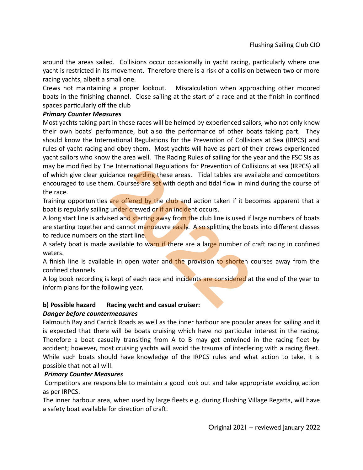around the areas sailed. Collisions occur occasionally in yacht racing, particularly where one yacht is restricted in its movement. Therefore there is a risk of a collision between two or more racing yachts, albeit a small one.

Crews not maintaining a proper lookout. Miscalculation when approaching other moored boats in the finishing channel. Close sailing at the start of a race and at the finish in confined spaces particularly off the club

## *Primary Counter Measures*

Most yachts taking part in these races will be helmed by experienced sailors, who not only know their own boats' performance, but also the performance of other boats taking part. They should know the International Regulations for the Prevention of Collisions at Sea (IRPCS) and rules of yacht racing and obey them. Most yachts will have as part of their crews experienced yacht sailors who know the area well. The Racing Rules of sailing for the year and the FSC SIs as may be modified by The International Regulations for Prevention of Collisions at sea (IRPCS) all of which give clear guidance regarding these areas. Tidal tables are available and competitors encouraged to use them. Courses are set with depth and tidal flow in mind during the course of the race. e International Regulations for Prevention of Collidance regarding these areas. Tidal tables are ava<br>m. Courses are set with depth and tidal flow in mir<br>are offered by the club and action taken if it bec<br>under crewed or if

Training opportunities are offered by the club and action taken if it becomes apparent that a boat is regularly sailing under crewed or if an incident occurs.

A long start line is advised and starting away from the club line is used if large numbers of boats are starting together and cannot manoeuvre easily. Also splitting the boats into different classes to reduce numbers on the start line.

A safety boat is made available to warn if there are a large number of craft racing in confined waters.

A finish line is available in open water and the provision to shorten courses away from the confined channels.

A log book recording is kept of each race and incidents are considered at the end of the year to inform plans for the following year.

## **b) Possible hazard Racing yacht and casual cruiser:**

## *Danger before countermeasures*

Falmouth Bay and Carrick Roads as well as the inner harbour are popular areas for sailing and it is expected that there will be boats cruising which have no particular interest in the racing. Therefore a boat casually transiting from A to B may get entwined in the racing fleet by accident; however, most cruising yachts will avoid the trauma of interfering with a racing fleet. While such boats should have knowledge of the IRPCS rules and what action to take, it is possible that not all will.

## *Primary Counter Measures*

 Competitors are responsible to maintain a good look out and take appropriate avoiding action as per IRPCS.

The inner harbour area, when used by large fleets e.g. during Flushing Village Regatta, will have a safety boat available for direction of craft.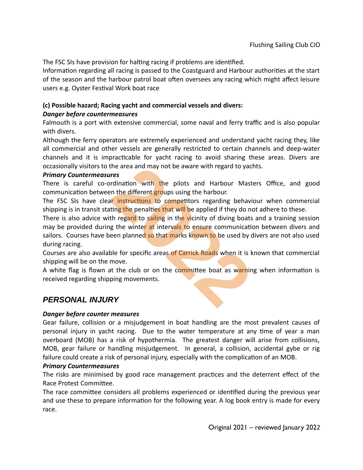The FSC SIs have provision for halting racing if problems are identified.

Information regarding all racing is passed to the Coastguard and Harbour authorities at the start of the season and the harbour patrol boat often oversees any racing which might affect leisure users e.g. Oyster Festival Work boat race

## **(c) Possible hazard; Racing yacht and commercial vessels and divers:**  *Danger before countermeasures*

Falmouth is a port with extensive commercial, some naval and ferry traffic and is also popular with divers.

Although the ferry operators are extremely experienced and understand yacht racing they, like all commercial and other vessels are generally restricted to certain channels and deep-water channels and it is impracticable for yacht racing to avoid sharing these areas. Divers are occasionally visitors to the area and may not be aware with regard to yachts.

## *Primary Countermeasures*

There is careful co-ordination with the pilots and Harbour Masters Office, and good communication between the different groups using the harbour.

The FSC SIs have clear instructions to competitors regarding behaviour when commercial shipping is in transit stating the penalties that will be applied if they do not adhere to these.

There is also advice with regard to sailing in the vicinity of diving boats and a training session may be provided during the winter at intervals to ensure communication between divers and sailors. Courses have been planned so that marks known to be used by divers are not also used during racing. the area and may not be aware with regard to yach<br> **2022**<br>
2022<br>
2022<br>
2022<br>
2022<br>
2022<br>
2022<br>
2022<br>
2022<br>
2022<br>
2022<br>
2022<br>
2022<br>
2022<br>
2022<br>
2022<br>
2022<br>
2022<br>
2022<br>
2022<br>
2022<br>
2022<br>
2023<br>
2023<br>
2023<br>
2023<br>
2023<br>
2023<br>
2

Courses are also available for specific areas of Carrick Roads when it is known that commercial shipping will be on the move.

A white flag is flown at the club or on the committee boat as warning when information is received regarding shipping movements.

## *PERSONAL INJURY*

## *Danger before counter measures*

Gear failure, collision or a misjudgement in boat handling are the most prevalent causes of personal injury in yacht racing. Due to the water temperature at any time of year a man overboard (MOB) has a risk of hypothermia. The greatest danger will arise from collisions, MOB, gear failure or handling misjudgement. In general, a collision, accidental gybe or rig failure could create a risk of personal injury, especially with the complication of an MOB.

#### *Primary Countermeasures*

The risks are minimised by good race management practices and the deterrent effect of the Race Protest Committee.

The race committee considers all problems experienced or identified during the previous year and use these to prepare information for the following year. A log book entry is made for every race.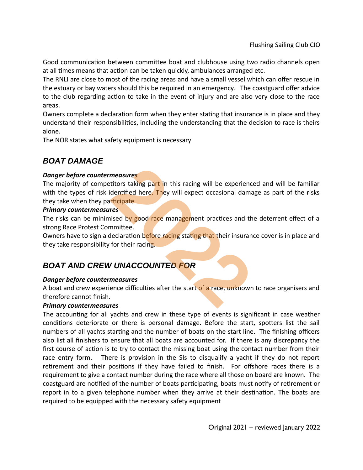Good communication between committee boat and clubhouse using two radio channels open at all times means that action can be taken quickly, ambulances arranged etc.

The RNLI are close to most of the racing areas and have a small vessel which can offer rescue in the estuary or bay waters should this be required in an emergency. The coastguard offer advice to the club regarding action to take in the event of injury and are also very close to the race areas.

Owners complete a declaration form when they enter stating that insurance is in place and they understand their responsibilities, including the understanding that the decision to race is theirs alone.

The NOR states what safety equipment is necessary

# *BOAT DAMAGE*

## *Danger before countermeasures*

The majority of competitors taking part in this racing will be experienced and will be familiar with the types of risk identified here. They will expect occasional damage as part of the risks they take when they participate measures<br>
2022<br>
2022<br>
2022<br>
2022<br>
2022<br>
2022<br>
2022<br>
2022<br>
2022<br>
2022<br>
2022<br>
2022<br>
2022<br>
2022<br>
2022<br>
2022<br>
2022<br>
2022<br>
2022<br>
2022<br>
2022<br>
2022<br>
2022<br>
2022<br>
2022<br>
2022<br>
2022<br>
2022<br>
2022<br>
2022<br>
2022<br>
2022<br>
2022<br>
2022<br>
2022<br>
20

## *Primary countermeasures*

The risks can be minimised by good race management practices and the deterrent effect of a strong Race Protest Committee.

Owners have to sign a declaration before racing stating that their insurance cover is in place and they take responsibility for their racing.

# *BOAT AND CREW UNACCOUNTED FOR*

## *Danger before countermeasures*

A boat and crew experience difficulties after the start of a race, unknown to race organisers and therefore cannot finish.

## *Primary countermeasures*

The accounting for all yachts and crew in these type of events is significant in case weather conditions deteriorate or there is personal damage. Before the start, spotters list the sail numbers of all yachts starting and the number of boats on the start line. The finishing officers also list all finishers to ensure that all boats are accounted for. If there is any discrepancy the first course of action is to try to contact the missing boat using the contact number from their race entry form. There is provision in the SIs to disqualify a yacht if they do not report retirement and their positions if they have failed to finish. For offshore races there is a requirement to give a contact number during the race where all those on board are known. The coastguard are notified of the number of boats participating, boats must notify of retirement or report in to a given telephone number when they arrive at their destination. The boats are required to be equipped with the necessary safety equipment